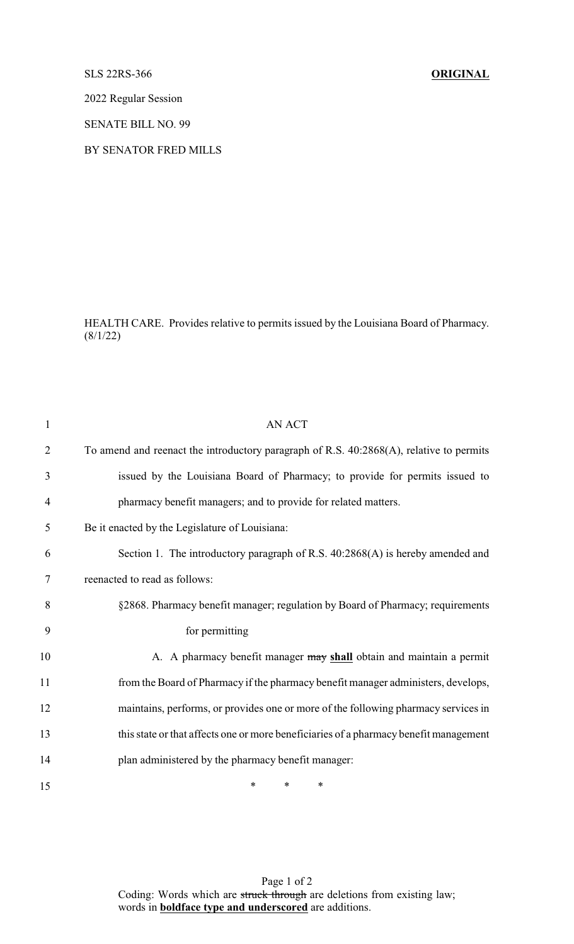SLS 22RS-366 **ORIGINAL**

2022 Regular Session

SENATE BILL NO. 99

BY SENATOR FRED MILLS

HEALTH CARE. Provides relative to permits issued by the Louisiana Board of Pharmacy. (8/1/22)

| $\mathbf{1}$   | <b>AN ACT</b>                                                                           |
|----------------|-----------------------------------------------------------------------------------------|
| $\overline{2}$ | To amend and reenact the introductory paragraph of R.S. 40:2868(A), relative to permits |
| 3              | issued by the Louisiana Board of Pharmacy; to provide for permits issued to             |
| 4              | pharmacy benefit managers; and to provide for related matters.                          |
| 5              | Be it enacted by the Legislature of Louisiana:                                          |
| 6              | Section 1. The introductory paragraph of R.S. 40:2868(A) is hereby amended and          |
| 7              | reenacted to read as follows:                                                           |
| 8              | §2868. Pharmacy benefit manager; regulation by Board of Pharmacy; requirements          |
| 9              | for permitting                                                                          |
| 10             | A. A pharmacy benefit manager may shall obtain and maintain a permit                    |
| 11             | from the Board of Pharmacy if the pharmacy benefit manager administers, develops,       |
| 12             | maintains, performs, or provides one or more of the following pharmacy services in      |
| 13             | this state or that affects one or more beneficiaries of a pharmacy benefit management   |
| 14             | plan administered by the pharmacy benefit manager:                                      |
| 15             | *<br>∗<br>∗                                                                             |